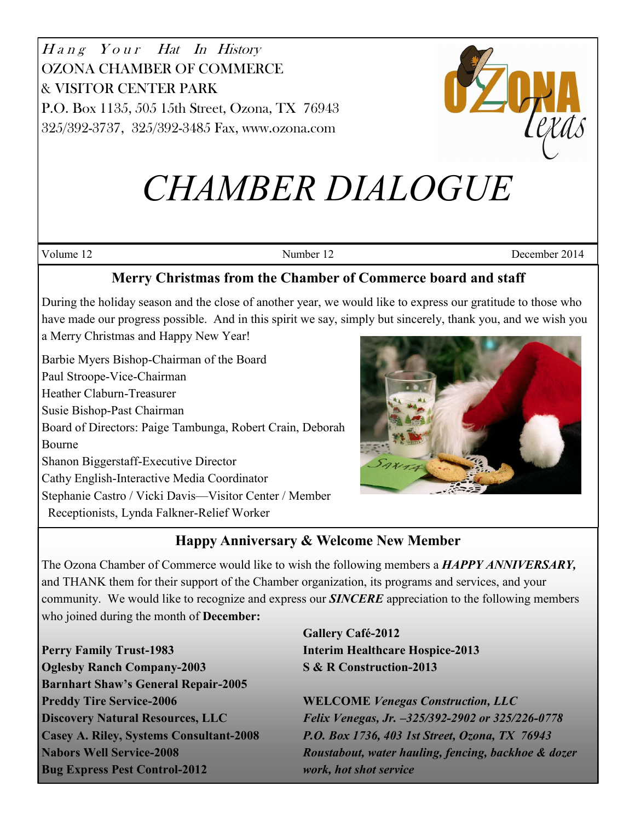



# *CHAMBER DIALOGUE*

Volume 12 December 2014

# **Merry Christmas from the Chamber of Commerce board and staff**

During the holiday season and the close of another year, we would like to express our gratitude to those who have made our progress possible. And in this spirit we say, simply but sincerely, thank you, and we wish you a Merry Christmas and Happy New Year!

Barbie Myers Bishop-Chairman of the Board

Paul Stroope-Vice-Chairman

Heather Claburn-Treasurer

Susie Bishop-Past Chairman

Board of Directors: Paige Tambunga, Robert Crain, Deborah Bourne

Shanon Biggerstaff-Executive Director

Cathy English-Interactive Media Coordinator

Stephanie Castro / Vicki Davis—Visitor Center / Member

Receptionists, Lynda Falkner-Relief Worker



# **Happy Anniversary & Welcome New Member**

The Ozona Chamber of Commerce would like to wish the following members a *HAPPY ANNIVERSARY,* and THANK them for their support of the Chamber organization, its programs and services, and your community. We would like to recognize and express our *SINCERE* appreciation to the following members who joined during the month of **December:**

**Perry Family Trust-1983 Interim Healthcare Hospice-2013 Oglesby Ranch Company-2003 S & R Construction-2013 Barnhart Shaw's General Repair-2005 Preddy Tire Service-2006 WELCOME** *Venegas Construction, LLC*  **Bug Express Pest Control-2012** *work, hot shot service*

**Gallery Café-2012**

**Discovery Natural Resources, LLC** *Felix Venegas, Jr. –325/392-2902 or 325/226-0778* **Casey A. Riley, Systems Consultant-2008** *P.O. Box 1736, 403 1st Street, Ozona, TX 76943* **Nabors Well Service-2008** *Roustabout, water hauling, fencing, backhoe & dozer*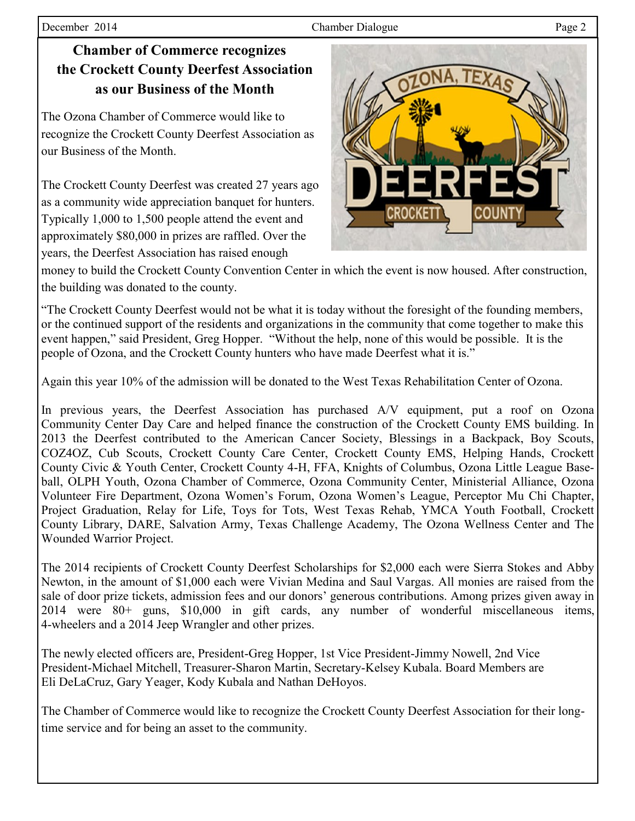#### December 2014 Page 2

**Chamber of Commerce recognizes the Crockett County Deerfest Association as our Business of the Month**

The Ozona Chamber of Commerce would like to recognize the Crockett County Deerfest Association as our Business of the Month.

The Crockett County Deerfest was created 27 years ago as a community wide appreciation banquet for hunters. Typically 1,000 to 1,500 people attend the event and approximately \$80,000 in prizes are raffled. Over the years, the Deerfest Association has raised enough



money to build the Crockett County Convention Center in which the event is now housed. After construction, the building was donated to the county.

"The Crockett County Deerfest would not be what it is today without the foresight of the founding members, or the continued support of the residents and organizations in the community that come together to make this event happen," said President, Greg Hopper. "Without the help, none of this would be possible. It is the people of Ozona, and the Crockett County hunters who have made Deerfest what it is."

Again this year 10% of the admission will be donated to the West Texas Rehabilitation Center of Ozona.

In previous years, the Deerfest Association has purchased A/V equipment, put a roof on Ozona Community Center Day Care and helped finance the construction of the Crockett County EMS building. In 2013 the Deerfest contributed to the American Cancer Society, Blessings in a Backpack, Boy Scouts, COZ4OZ, Cub Scouts, Crockett County Care Center, Crockett County EMS, Helping Hands, Crockett County Civic & Youth Center, Crockett County 4-H, FFA, Knights of Columbus, Ozona Little League Baseball, OLPH Youth, Ozona Chamber of Commerce, Ozona Community Center, Ministerial Alliance, Ozona Volunteer Fire Department, Ozona Women's Forum, Ozona Women's League, Perceptor Mu Chi Chapter, Project Graduation, Relay for Life, Toys for Tots, West Texas Rehab, YMCA Youth Football, Crockett County Library, DARE, Salvation Army, Texas Challenge Academy, The Ozona Wellness Center and The Wounded Warrior Project.

The 2014 recipients of Crockett County Deerfest Scholarships for \$2,000 each were Sierra Stokes and Abby Newton, in the amount of \$1,000 each were Vivian Medina and Saul Vargas. All monies are raised from the sale of door prize tickets, admission fees and our donors' generous contributions. Among prizes given away in 2014 were 80+ guns, \$10,000 in gift cards, any number of wonderful miscellaneous items, 4-wheelers and a 2014 Jeep Wrangler and other prizes.

The newly elected officers are, President-Greg Hopper, 1st Vice President-Jimmy Nowell, 2nd Vice President-Michael Mitchell, Treasurer-Sharon Martin, Secretary-Kelsey Kubala. Board Members are Eli DeLaCruz, Gary Yeager, Kody Kubala and Nathan DeHoyos.

The Chamber of Commerce would like to recognize the Crockett County Deerfest Association for their longtime service and for being an asset to the community.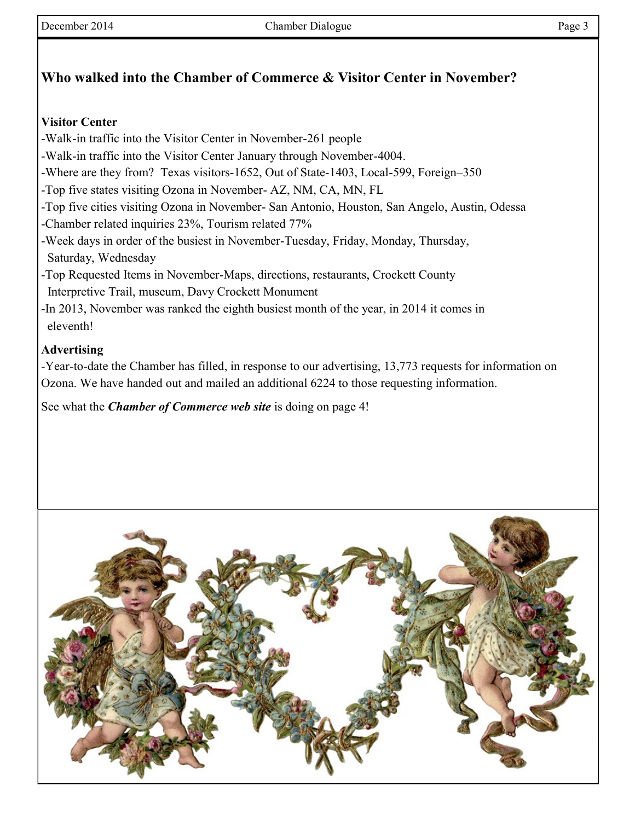# **Who walked into the Chamber of Commerce & Visitor Center in November?**

### **Visitor Center**

- -Walk-in traffic into the Visitor Center in November-261 people
- -Walk-in traffic into the Visitor Center January through November-4004.
- -Where are they from? Texas visitors-1652, Out of State-1403, Local-599, Foreign–350
- -Top five states visiting Ozona in November- AZ, NM, CA, MN, FL
- -Top five cities visiting Ozona in November- San Antonio, Houston, San Angelo, Austin, Odessa
- -Chamber related inquiries 23%, Tourism related 77%
- -Week days in order of the busiest in November-Tuesday, Friday, Monday, Thursday, Saturday, Wednesday
- -Top Requested Items in November-Maps, directions, restaurants, Crockett County Interpretive Trail, museum, Davy Crockett Monument
- -In 2013, November was ranked the eighth busiest month of the year, in 2014 it comes in eleventh!

## **Advertising**

-Year-to-date the Chamber has filled, in response to our advertising, 13,773 requests for information on Ozona. We have handed out and mailed an additional 6224 to those requesting information.

See what the *Chamber of Commerce web site* is doing on page 4!

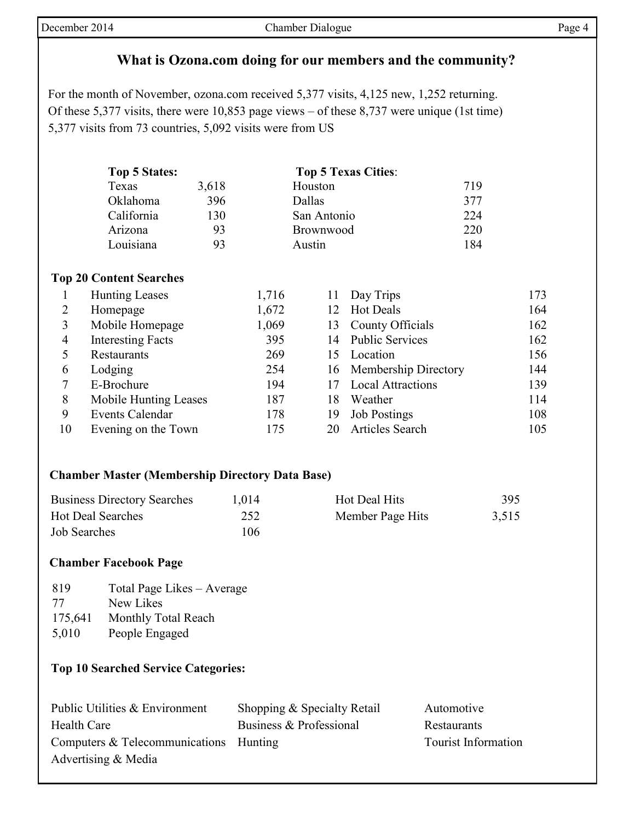# **What is Ozona.com doing for our members and the community?**

For the month of November, ozona.com received 5,377 visits, 4,125 new, 1,252 returning. Of these 5,377 visits, there were 10,853 page views – of these 8,737 were unique (1st time) 5,377 visits from 73 countries, 5,092 visits were from US

| Top 5 States: |       | <b>Top 5 Texas Cities:</b> |     |
|---------------|-------|----------------------------|-----|
| Texas         | 3,618 | Houston                    | 719 |
| Oklahoma      | 396   | Dallas                     | 377 |
| California    | 130   | San Antonio                | 224 |
| Arizona       | 93    | Brownwood                  | 220 |
| Louisiana     | 93    | Austin                     | 184 |

#### **Top 20 Content Searches**

|    | <b>Hunting Leases</b>    | 1,716 | 11  | Day Trips                | 173 |
|----|--------------------------|-------|-----|--------------------------|-----|
|    | Homepage                 | 1,672 |     | <b>Hot Deals</b>         | 164 |
|    | Mobile Homepage          | 1,069 | 13  | County Officials         | 162 |
| 4  | <b>Interesting Facts</b> | 395   |     | 14 Public Services       | 162 |
|    | Restaurants              | 269   | 15. | Location                 | 156 |
| 6  | Lodging                  | 254   |     | 16 Membership Directory  | 144 |
|    | E-Brochure               | 194   |     | <b>Local Attractions</b> | 139 |
| 8  | Mobile Hunting Leases    | 187   | 18  | Weather                  | 114 |
| 9  | <b>Events Calendar</b>   | 178   | 19  | <b>Job Postings</b>      | 108 |
| 10 | Evening on the Town      | 175   | 20  | <b>Articles Search</b>   | 105 |

#### **Chamber Master (Membership Directory Data Base)**

| <b>Business Directory Searches</b> | 1,014 | Hot Deal Hits    | 395   |
|------------------------------------|-------|------------------|-------|
| <b>Hot Deal Searches</b>           | 252   | Member Page Hits | 3.515 |
| <b>Job Searches</b>                | 106   |                  |       |

#### **Chamber Facebook Page**

| 819     | Total Page Likes – Average |
|---------|----------------------------|
| 77      | New Likes                  |
| 175,641 | Monthly Total Reach        |
| 5,010   | People Engaged             |

#### **Top 10 Searched Service Categories:**

| Public Utilities & Environment         | Shopping & Specialty Retail | Automotive                 |
|----------------------------------------|-----------------------------|----------------------------|
| Health Care                            | Business & Professional     | Restaurants                |
| Computers & Telecommunications Hunting |                             | <b>Tourist Information</b> |
| Advertising & Media                    |                             |                            |